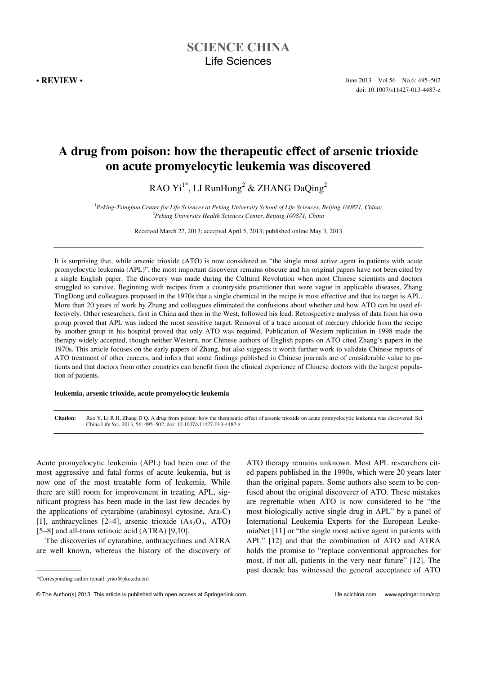# **A drug from poison: how the therapeutic effect of arsenic trioxide on acute promyelocytic leukemia was discovered**

RAO  $\mathrm{Yi}^{1*}$ , LI RunHong<sup>2</sup> & ZHANG DaQing<sup>2</sup>

<sup>1</sup> Peking-Tsinghua Center for Life Sciences at Peking University School of Life Sciences, Beijing 100871, China; 2 *Peking University Health Sciences Center, Beijing 100871, China* 

Received March 27, 2013; accepted April 5, 2013; published online May 3, 2013

It is surprising that, while arsenic trioxide (ATO) is now considered as "the single most active agent in patients with acute promyelocytic leukemia (APL)", the most important discoverer remains obscure and his original papers have not been cited by a single English paper. The discovery was made during the Cultural Revolution when most Chinese scientists and doctors struggled to survive. Beginning with recipes from a countryside practitioner that were vague in applicable diseases, Zhang TingDong and colleagues proposed in the 1970s that a single chemical in the recipe is most effective and that its target is APL. More than 20 years of work by Zhang and colleagues eliminated the confusions about whether and how ATO can be used effectively. Other researchers, first in China and then in the West, followed his lead. Retrospective analysis of data from his own group proved that APL was indeed the most sensitive target. Removal of a trace amount of mercury chloride from the recipe by another group in his hospital proved that only ATO was required. Publication of Western replication in 1998 made the therapy widely accepted, though neither Western, nor Chinese authors of English papers on ATO cited Zhang's papers in the 1970s. This article focuses on the early papers of Zhang, but also suggests it worth further work to validate Chinese reports of ATO treatment of other cancers, and infers that some findings published in Chinese journals are of considerable value to patients and that doctors from other countries can benefit from the clinical experience of Chinese doctors with the largest population of patients.

#### **leukemia, arsenic trioxide, acute promyelocytic leukemia**

**Citation:** Rao Y, Li R H, Zhang D Q. A drug from poison: how the therapeutic effect of arsenic trioxide on acute promyelocytic leukemia was discovered. Sci China Life Sci, 2013, 56: 495–502, doi: 10.1007/s11427-013-4487-z

Acute promyelocytic leukemia (APL) had been one of the most aggressive and fatal forms of acute leukemia, but is now one of the most treatable form of leukemia. While there are still room for improvement in treating APL, significant progress has been made in the last few decades by the applications of cytarabine (arabinosyl cytosine, Ara-C) [1], anthracyclines [2–4], arsenic trioxide  $(As<sub>2</sub>O<sub>3</sub>, ATO)$ [5–8] and all-trans retinoic acid (ATRA) [9,10].

The discoveries of cytarabine, anthracyclines and ATRA are well known, whereas the history of the discovery of

 $\overline{a}$ 

ATO therapy remains unknown. Most APL researchers cited papers published in the 1990s, which were 20 years later than the original papers. Some authors also seem to be confused about the original discoverer of ATO. These mistakes are regrettable when ATO is now considered to be "the most biologically active single drug in APL" by a panel of International Leukemia Experts for the European LeukemiaNet [11] or "the single most active agent in patients with APL" [12] and that the combination of ATO and ATRA holds the promise to "replace conventional approaches for most, if not all, patients in the very near future" [12]. The past decade has witnessed the general acceptance of ATO

<sup>\*</sup>Corresponding author (email: yrao@pku.edu.cn)

<sup>©</sup> The Author(s) 2013. This article is published with open access at Springerlink.com life.scichina.com www.springer.com/scp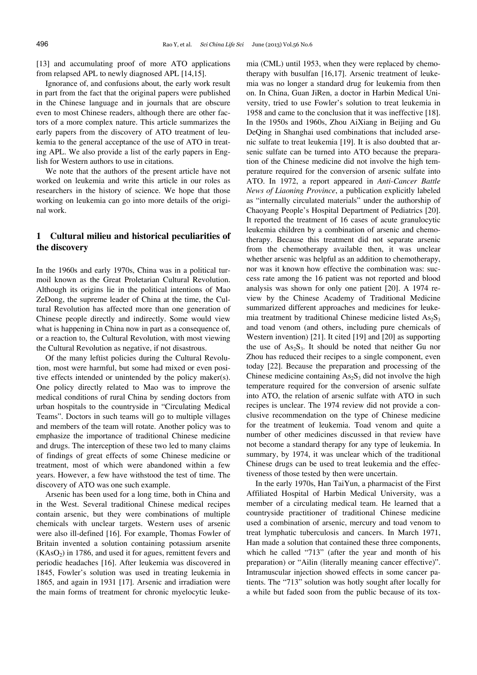[13] and accumulating proof of more ATO applications from relapsed APL to newly diagnosed APL [14,15].

Ignorance of, and confusions about, the early work result in part from the fact that the original papers were published in the Chinese language and in journals that are obscure even to most Chinese readers, although there are other factors of a more complex nature. This article summarizes the early papers from the discovery of ATO treatment of leukemia to the general acceptance of the use of ATO in treating APL. We also provide a list of the early papers in English for Western authors to use in citations.

We note that the authors of the present article have not worked on leukemia and write this article in our roles as researchers in the history of science. We hope that those working on leukemia can go into more details of the original work.

## **1 Cultural milieu and historical peculiarities of the discovery**

In the 1960s and early 1970s, China was in a political turmoil known as the Great Proletarian Cultural Revolution. Although its origins lie in the political intentions of Mao ZeDong, the supreme leader of China at the time, the Cultural Revolution has affected more than one generation of Chinese people directly and indirectly. Some would view what is happening in China now in part as a consequence of, or a reaction to, the Cultural Revolution, with most viewing the Cultural Revolution as negative, if not disastrous.

Of the many leftist policies during the Cultural Revolution, most were harmful, but some had mixed or even positive effects intended or unintended by the policy maker(s). One policy directly related to Mao was to improve the medical conditions of rural China by sending doctors from urban hospitals to the countryside in "Circulating Medical Teams". Doctors in such teams will go to multiple villages and members of the team will rotate. Another policy was to emphasize the importance of traditional Chinese medicine and drugs. The interception of these two led to many claims of findings of great effects of some Chinese medicine or treatment, most of which were abandoned within a few years. However, a few have withstood the test of time. The discovery of ATO was one such example.

Arsenic has been used for a long time, both in China and in the West. Several traditional Chinese medical recipes contain arsenic, but they were combinations of multiple chemicals with unclear targets. Western uses of arsenic were also ill-defined [16]. For example, Thomas Fowler of Britain invented a solution containing potassium arsenite  $(KAsO<sub>2</sub>)$  in 1786, and used it for agues, remittent fevers and periodic headaches [16]. After leukemia was discovered in 1845, Fowler's solution was used in treating leukemia in 1865, and again in 1931 [17]. Arsenic and irradiation were the main forms of treatment for chronic myelocytic leukemia (CML) until 1953, when they were replaced by chemotherapy with busulfan [16,17]. Arsenic treatment of leukemia was no longer a standard drug for leukemia from then on. In China, Guan JiRen, a doctor in Harbin Medical University, tried to use Fowler's solution to treat leukemia in 1958 and came to the conclusion that it was ineffective [18]. In the 1950s and 1960s, Zhou AiXiang in Beijing and Gu DeQing in Shanghai used combinations that included arsenic sulfate to treat leukemia [19]. It is also doubted that arsenic sulfate can be turned into ATO because the preparation of the Chinese medicine did not involve the high temperature required for the conversion of arsenic sulfate into ATO. In 1972, a report appeared in *Anti-Cancer Battle News of Liaoning Province*, a publication explicitly labeled as "internally circulated materials" under the authorship of Chaoyang People's Hospital Department of Pediatrics [20]. It reported the treatment of 16 cases of acute granulocytic leukemia children by a combination of arsenic and chemotherapy. Because this treatment did not separate arsenic from the chemotherapy available then, it was unclear whether arsenic was helpful as an addition to chemotherapy, nor was it known how effective the combination was: success rate among the 16 patient was not reported and blood analysis was shown for only one patient [20]. A 1974 review by the Chinese Academy of Traditional Medicine summarized different approaches and medicines for leukemia treatment by traditional Chinese medicine listed  $As<sub>2</sub>S<sub>3</sub>$ and toad venom (and others, including pure chemicals of Western invention) [21]. It cited [19] and [20] as supporting the use of  $As_2S_3$ . It should be noted that neither Gu nor Zhou has reduced their recipes to a single component, even today [22]. Because the preparation and processing of the Chinese medicine containing  $As_2S_3$  did not involve the high temperature required for the conversion of arsenic sulfate into ATO, the relation of arsenic sulfate with ATO in such recipes is unclear. The 1974 review did not provide a conclusive recommendation on the type of Chinese medicine for the treatment of leukemia. Toad venom and quite a number of other medicines discussed in that review have not become a standard therapy for any type of leukemia. In summary, by 1974, it was unclear which of the traditional Chinese drugs can be used to treat leukemia and the effectiveness of those tested by then were uncertain.

In the early 1970s, Han TaiYun, a pharmacist of the First Affiliated Hospital of Harbin Medical University, was a member of a circulating medical team. He learned that a countryside practitioner of traditional Chinese medicine used a combination of arsenic, mercury and toad venom to treat lymphatic tuberculosis and cancers. In March 1971, Han made a solution that contained these three components, which he called "713" (after the year and month of his preparation) or "Ailin (literally meaning cancer effective)". Intramuscular injection showed effects in some cancer patients. The "713" solution was hotly sought after locally for a while but faded soon from the public because of its tox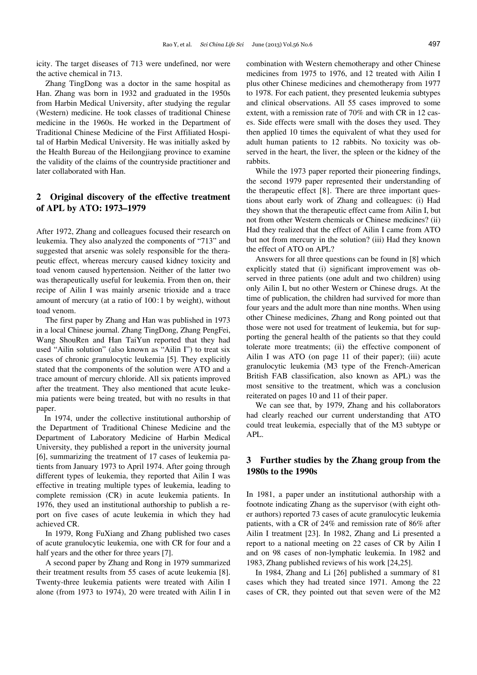icity. The target diseases of 713 were undefined, nor were the active chemical in 713.

Zhang TingDong was a doctor in the same hospital as Han. Zhang was born in 1932 and graduated in the 1950s from Harbin Medical University, after studying the regular (Western) medicine. He took classes of traditional Chinese medicine in the 1960s. He worked in the Department of Traditional Chinese Medicine of the First Affiliated Hospital of Harbin Medical University. He was initially asked by the Health Bureau of the Heilongjiang province to examine the validity of the claims of the countryside practitioner and later collaborated with Han.

# **2 Original discovery of the effective treatment of APL by ATO: 1973–1979**

After 1972, Zhang and colleagues focused their research on leukemia. They also analyzed the components of "713" and suggested that arsenic was solely responsible for the therapeutic effect, whereas mercury caused kidney toxicity and toad venom caused hypertension. Neither of the latter two was therapeutically useful for leukemia. From then on, their recipe of Ailin I was mainly arsenic trioxide and a trace amount of mercury (at a ratio of 100:1 by weight), without toad venom.

The first paper by Zhang and Han was published in 1973 in a local Chinese journal. Zhang TingDong, Zhang PengFei, Wang ShouRen and Han TaiYun reported that they had used "Ailin solution" (also known as "Ailin I") to treat six cases of chronic granulocytic leukemia [5]. They explicitly stated that the components of the solution were ATO and a trace amount of mercury chloride. All six patients improved after the treatment. They also mentioned that acute leukemia patients were being treated, but with no results in that paper.

In 1974, under the collective institutional authorship of the Department of Traditional Chinese Medicine and the Department of Laboratory Medicine of Harbin Medical University, they published a report in the university journal [6], summarizing the treatment of 17 cases of leukemia patients from January 1973 to April 1974. After going through different types of leukemia, they reported that Ailin I was effective in treating multiple types of leukemia, leading to complete remission (CR) in acute leukemia patients. In 1976, they used an institutional authorship to publish a report on five cases of acute leukemia in which they had achieved CR.

In 1979, Rong FuXiang and Zhang published two cases of acute granulocytic leukemia, one with CR for four and a half years and the other for three years [7].

A second paper by Zhang and Rong in 1979 summarized their treatment results from 55 cases of acute leukemia [8]. Twenty-three leukemia patients were treated with Ailin I alone (from 1973 to 1974), 20 were treated with Ailin I in combination with Western chemotherapy and other Chinese medicines from 1975 to 1976, and 12 treated with Ailin I plus other Chinese medicines and chemotherapy from 1977 to 1978. For each patient, they presented leukemia subtypes and clinical observations. All 55 cases improved to some extent, with a remission rate of 70% and with CR in 12 cases. Side effects were small with the doses they used. They then applied 10 times the equivalent of what they used for adult human patients to 12 rabbits. No toxicity was observed in the heart, the liver, the spleen or the kidney of the rabbits.

While the 1973 paper reported their pioneering findings, the second 1979 paper represented their understanding of the therapeutic effect [8]. There are three important questions about early work of Zhang and colleagues: (i) Had they shown that the therapeutic effect came from Ailin I, but not from other Western chemicals or Chinese medicines? (ii) Had they realized that the effect of Ailin I came from ATO but not from mercury in the solution? (iii) Had they known the effect of ATO on APL?

Answers for all three questions can be found in [8] which explicitly stated that (i) significant improvement was observed in three patients (one adult and two children) using only Ailin I, but no other Western or Chinese drugs. At the time of publication, the children had survived for more than four years and the adult more than nine months. When using other Chinese medicines, Zhang and Rong pointed out that those were not used for treatment of leukemia, but for supporting the general health of the patients so that they could tolerate more treatments; (ii) the effective component of Ailin I was ATO (on page 11 of their paper); (iii) acute granulocytic leukemia (M3 type of the French-American British FAB classification, also known as APL) was the most sensitive to the treatment, which was a conclusion reiterated on pages 10 and 11 of their paper.

We can see that, by 1979, Zhang and his collaborators had clearly reached our current understanding that ATO could treat leukemia, especially that of the M3 subtype or APL.

# **3 Further studies by the Zhang group from the 1980s to the 1990s**

In 1981, a paper under an institutional authorship with a footnote indicating Zhang as the supervisor (with eight other authors) reported 73 cases of acute granulocytic leukemia patients, with a CR of 24% and remission rate of 86% after Ailin I treatment [23]. In 1982, Zhang and Li presented a report to a national meeting on 22 cases of CR by Ailin I and on 98 cases of non-lymphatic leukemia. In 1982 and 1983, Zhang published reviews of his work [24,25].

In 1984, Zhang and Li [26] published a summary of 81 cases which they had treated since 1971. Among the 22 cases of CR, they pointed out that seven were of the M2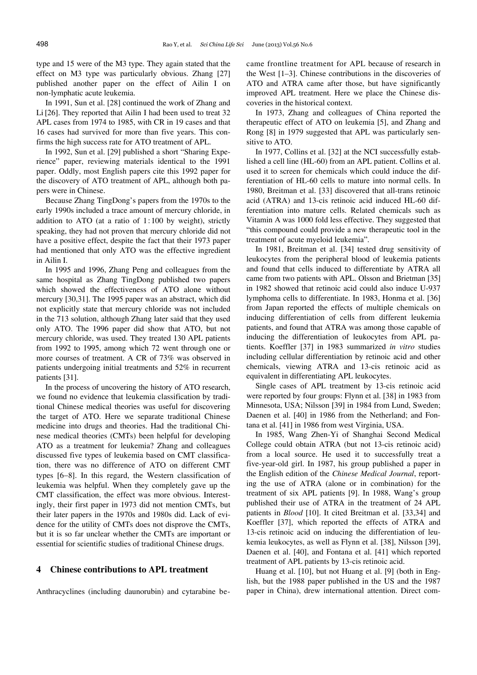type and 15 were of the M3 type. They again stated that the effect on M3 type was particularly obvious. Zhang [27] published another paper on the effect of Ailin I on non-lymphatic acute leukemia.

In 1991, Sun et al. [28] continued the work of Zhang and Li<sup>[26]</sup>. They reported that Ailin I had been used to treat 32 APL cases from 1974 to 1985, with CR in 19 cases and that 16 cases had survived for more than five years. This confirms the high success rate for ATO treatment of APL.

In 1992, Sun et al. [29] published a short "Sharing Experience" paper, reviewing materials identical to the 1991 paper. Oddly, most English papers cite this 1992 paper for the discovery of ATO treatment of APL, although both papers were in Chinese.

Because Zhang TingDong's papers from the 1970s to the early 1990s included a trace amount of mercury chloride, in addition to ATO (at a ratio of 1:100 by weight), strictly speaking, they had not proven that mercury chloride did not have a positive effect, despite the fact that their 1973 paper had mentioned that only ATO was the effective ingredient in Ailin I.

In 1995 and 1996, Zhang Peng and colleagues from the same hospital as Zhang TingDong published two papers which showed the effectiveness of ATO alone without mercury [30,31]. The 1995 paper was an abstract, which did not explicitly state that mercury chloride was not included in the 713 solution, although Zhang later said that they used only ATO. The 1996 paper did show that ATO, but not mercury chloride, was used. They treated 130 APL patients from 1992 to 1995, among which 72 went through one or more courses of treatment. A CR of 73% was observed in patients undergoing initial treatments and 52% in recurrent patients [31].

In the process of uncovering the history of ATO research, we found no evidence that leukemia classification by traditional Chinese medical theories was useful for discovering the target of ATO. Here we separate traditional Chinese medicine into drugs and theories. Had the traditional Chinese medical theories (CMTs) been helpful for developing ATO as a treatment for leukemia? Zhang and colleagues discussed five types of leukemia based on CMT classification, there was no difference of ATO on different CMT types  $[6-8]$ . In this regard, the Western classification of leukemia was helpful. When they completely gave up the CMT classification, the effect was more obvious. Interestingly, their first paper in 1973 did not mention CMTs, but their later papers in the 1970s and 1980s did. Lack of evidence for the utility of CMTs does not disprove the CMTs, but it is so far unclear whether the CMTs are important or essential for scientific studies of traditional Chinese drugs.

### **4 Chinese contributions to APL treatment**

Anthracyclines (including daunorubin) and cytarabine be-

came frontline treatment for APL because of research in the West [1–3]. Chinese contributions in the discoveries of ATO and ATRA came after those, but have significantly improved APL treatment. Here we place the Chinese discoveries in the historical context.

In 1973, Zhang and colleagues of China reported the therapeutic effect of ATO on leukemia [5], and Zhang and Rong [8] in 1979 suggested that APL was particularly sensitive to ATO.

In 1977, Collins et al. [32] at the NCI successfully established a cell line (HL-60) from an APL patient. Collins et al. used it to screen for chemicals which could induce the differentiation of HL-60 cells to mature into normal cells. In 1980, Breitman et al. [33] discovered that all-trans retinoic acid (ATRA) and 13-cis retinoic acid induced HL-60 differentiation into mature cells. Related chemicals such as Vitamin A was 1000 fold less effective. They suggested that "this compound could provide a new therapeutic tool in the treatment of acute myeloid leukemia".

In 1981, Breitman et al. [34] tested drug sensitivity of leukocytes from the peripheral blood of leukemia patients and found that cells induced to differentiate by ATRA all came from two patients with APL. Olsson and Brietman [35] in 1982 showed that retinoic acid could also induce U-937 lymphoma cells to differentiate. In 1983, Honma et al. [36] from Japan reported the effects of multiple chemicals on inducing differentiation of cells from different leukemia patients, and found that ATRA was among those capable of inducing the differentiation of leukocytes from APL patients. Koeffler [37] in 1983 summarized *in vitro* studies including cellular differentiation by retinoic acid and other chemicals, viewing ATRA and 13-cis retinoic acid as equivalent in differentiating APL leukocytes.

Single cases of APL treatment by 13-cis retinoic acid were reported by four groups: Flynn et al. [38] in 1983 from Minnesota, USA; Nilsson [39] in 1984 from Lund, Sweden; Daenen et al. [40] in 1986 from the Netherland; and Fontana et al. [41] in 1986 from west Virginia, USA.

In 1985, Wang Zhen-Yi of Shanghai Second Medical College could obtain ATRA (but not 13-cis retinoic acid) from a local source. He used it to successfully treat a five-year-old girl. In 1987, his group published a paper in the English edition of the *Chinese Medical Journal*, reporting the use of ATRA (alone or in combination) for the treatment of six APL patients [9]. In 1988, Wang's group published their use of ATRA in the treatment of 24 APL patients in *Blood* [10]. It cited Breitman et al. [33,34] and Koeffler [37], which reported the effects of ATRA and 13-cis retinoic acid on inducing the differentiation of leukemia leukocytes, as well as Flynn et al. [38], Nilsson [39], Daenen et al. [40], and Fontana et al. [41] which reported treatment of APL patients by 13-cis retinoic acid.

Huang et al. [10], but not Huang et al. [9] (both in English, but the 1988 paper published in the US and the 1987 paper in China), drew international attention. Direct com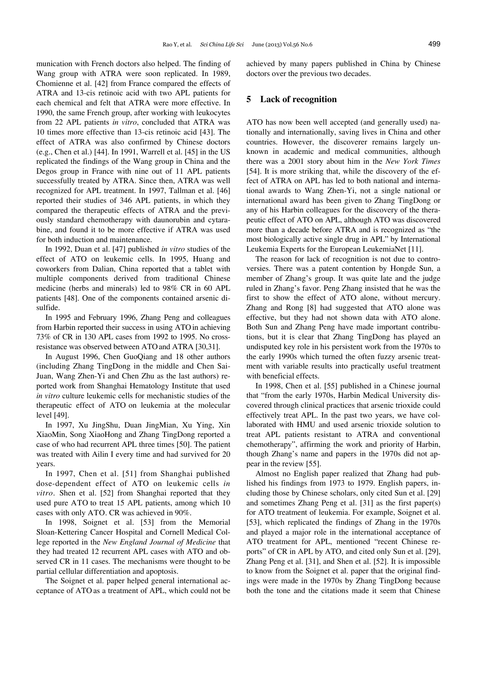munication with French doctors also helped. The finding of Wang group with ATRA were soon replicated. In 1989, Chomienne et al. [42] from France compared the effects of ATRA and 13-cis retinoic acid with two APL patients for each chemical and felt that ATRA were more effective. In 1990, the same French group, after working with leukocytes from 22 APL patients *in vitro*, concluded that ATRA was 10 times more effective than 13-cis retinoic acid [43]. The effect of ATRA was also confirmed by Chinese doctors (e.g., Chen et al.) [44]. In 1991, Warrell et al. [45] in the US replicated the findings of the Wang group in China and the Degos group in France with nine out of 11 APL patients successfully treated by ATRA. Since then, ATRA was well recognized for APL treatment. In 1997, Tallman et al. [46] reported their studies of 346 APL patients, in which they compared the therapeutic effects of ATRA and the previously standard chemotherapy with daunorubin and cytarabine, and found it to be more effective if ATRA was used for both induction and maintenance.

In 1992, Duan et al. [47] published *in vitro* studies of the effect of ATO on leukemic cells. In 1995, Huang and coworkers from Dalian, China reported that a tablet with multiple components derived from traditional Chinese medicine (herbs and minerals) led to 98% CR in 60 APL patients [48]. One of the components contained arsenic disulfide.

In 1995 and February 1996, Zhang Peng and colleagues from Harbin reported their success in using ATO in achieving 73% of CR in 130 APL cases from 1992 to 1995. No crossresistance was observed between ATOand ATRA [30,31].

In August 1996, Chen GuoQiang and 18 other authors (including Zhang TingDong in the middle and Chen Sai-Juan, Wang Zhen-Yi and Chen Zhu as the last authors) reported work from Shanghai Hematology Institute that used *in vitro* culture leukemic cells for mechanistic studies of the therapeutic effect of ATO on leukemia at the molecular level [49].

In 1997, Xu JingShu, Duan JingMian, Xu Ying, Xin XiaoMin, Song XiaoHong and Zhang TingDong reported a case of who had recurrent APL three times [50]. The patient was treated with Ailin I every time and had survived for 20 years.

In 1997, Chen et al. [51] from Shanghai published dose-dependent effect of ATO on leukemic cells *in vitro*. Shen et al. [52] from Shanghai reported that they used pure ATO to treat 15 APL patients, among which 10 cases with only ATO. CR was achieved in 90%.

In 1998, Soignet et al. [53] from the Memorial Sloan-Kettering Cancer Hospital and Cornell Medical College reported in the *New England Journal of Medicine* that they had treated 12 recurrent APL cases with ATO and observed CR in 11 cases. The mechanisms were thought to be partial cellular differentiation and apoptosis.

The Soignet et al. paper helped general international acceptance of ATO as a treatment of APL, which could not be achieved by many papers published in China by Chinese doctors over the previous two decades.

#### **5 Lack of recognition**

ATO has now been well accepted (and generally used) nationally and internationally, saving lives in China and other countries. However, the discoverer remains largely unknown in academic and medical communities, although there was a 2001 story about him in the *New York Times* [54]. It is more striking that, while the discovery of the effect of ATRA on APL has led to both national and international awards to Wang Zhen-Yi, not a single national or international award has been given to Zhang TingDong or any of his Harbin colleagues for the discovery of the therapeutic effect of ATO on APL, although ATO was discovered more than a decade before ATRA and is recognized as "the most biologically active single drug in APL" by International Leukemia Experts for the European LeukemiaNet [11].

The reason for lack of recognition is not due to controversies. There was a patent contention by Hongde Sun, a member of Zhang's group. It was quite late and the judge ruled in Zhang's favor. Peng Zhang insisted that he was the first to show the effect of ATO alone, without mercury. Zhang and Rong [8] had suggested that ATO alone was effective, but they had not shown data with ATO alone. Both Sun and Zhang Peng have made important contributions, but it is clear that Zhang TingDong has played an undisputed key role in his persistent work from the 1970s to the early 1990s which turned the often fuzzy arsenic treatment with variable results into practically useful treatment with beneficial effects.

In 1998, Chen et al. [55] published in a Chinese journal that "from the early 1970s, Harbin Medical University discovered through clinical practices that arsenic trioxide could effectively treat APL. In the past two years, we have collaborated with HMU and used arsenic trioxide solution to treat APL patients resistant to ATRA and conventional chemotherapy", affirming the work and priority of Harbin, though Zhang's name and papers in the 1970s did not appear in the review [55].

Almost no English paper realized that Zhang had published his findings from 1973 to 1979. English papers, including those by Chinese scholars, only cited Sun et al. [29] and sometimes Zhang Peng et al. [31] as the first paper(s) for ATO treatment of leukemia. For example, Soignet et al. [53], which replicated the findings of Zhang in the 1970s and played a major role in the international acceptance of ATO treatment for APL, mentioned "recent Chinese reports" of CR in APL by ATO, and cited only Sun et al. [29], Zhang Peng et al. [31], and Shen et al. [52]. It is impossible to know from the Soignet et al. paper that the original findings were made in the 1970s by Zhang TingDong because both the tone and the citations made it seem that Chinese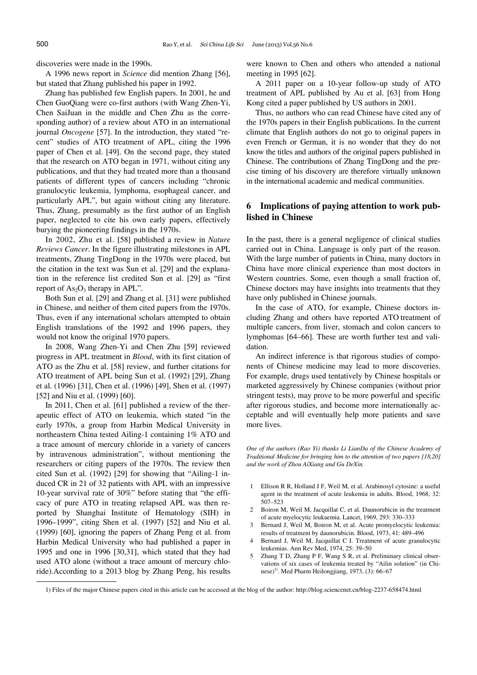-

discoveries were made in the 1990s.

A 1996 news report in *Science* did mention Zhang [56], but stated that Zhang published his paper in 1992.

Zhang has published few English papers. In 2001, he and Chen GuoQiang were co-first authors (with Wang Zhen-Yi, Chen SaiJuan in the middle and Chen Zhu as the corresponding author) of a review about ATO in an international journal *Oncogene* [57]. In the introduction, they stated "recent" studies of ATO treatment of APL, citing the 1996 paper of Chen et al. [49]. On the second page, they stated that the research on ATO began in 1971, without citing any publications, and that they had treated more than a thousand patients of different types of cancers including "chronic granulocytic leukemia, lymphoma, esophageal cancer, and particularly APL", but again without citing any literature. Thus, Zhang, presumably as the first author of an English paper, neglected to cite his own early papers, effectively burying the pioneering findings in the 1970s.

In 2002, Zhu et al. [58] published a review in *Nature Reviews Cancer*. In the figure illustrating milestones in APL treatments, Zhang TingDong in the 1970s were placed, but the citation in the text was Sun et al. [29] and the explanation in the reference list credited Sun et al. [29] as "first report of  $As<sub>2</sub>O<sub>3</sub>$  therapy in APL".

Both Sun et al. [29] and Zhang et al. [31] were published in Chinese, and neither of them cited papers from the 1970s. Thus, even if any international scholars attempted to obtain English translations of the 1992 and 1996 papers, they would not know the original 1970 papers.

In 2008, Wang Zhen-Yi and Chen Zhu [59] reviewed progress in APL treatment in *Blood*, with its first citation of ATO as the Zhu et al. [58] review, and further citations for ATO treatment of APL being Sun et al. (1992) [29], Zhang et al. (1996) [31], Chen et al. (1996) [49], Shen et al. (1997) [52] and Niu et al. (1999) [60].

In 2011, Chen et al. [61] published a review of the therapeutic effect of ATO on leukemia, which stated "in the early 1970s, a group from Harbin Medical University in northeastern China tested Ailing-1 containing 1% ATO and a trace amount of mercury chloride in a variety of cancers by intravenous administration", without mentioning the researchers or citing papers of the 1970s. The review then cited Sun et al. (1992) [29] for showing that "Ailing-1 induced CR in 21 of 32 patients with APL with an impressive 10-year survival rate of 30%" before stating that "the efficacy of pure ATO in treating relapsed APL was then reported by Shanghai Institute of Hematology (SIH) in 1996–1999", citing Shen et al. (1997) [52] and Niu et al. (1999) [60], ignoring the papers of Zhang Peng et al. from Harbin Medical University who had published a paper in 1995 and one in 1996 [30,31], which stated that they had used ATO alone (without a trace amount of mercury chloride).According to a 2013 blog by Zhang Peng, his results

were known to Chen and others who attended a national meeting in 1995 [62].

A 2011 paper on a 10-year follow-up study of ATO treatment of APL published by Au et al. [63] from Hong Kong cited a paper published by US authors in 2001.

Thus, no authors who can read Chinese have cited any of the 1970s papers in their English publications. In the current climate that English authors do not go to original papers in even French or German, it is no wonder that they do not know the titles and authors of the original papers published in Chinese. The contributions of Zhang TingDong and the precise timing of his discovery are therefore virtually unknown in the international academic and medical communities.

## **6 Implications of paying attention to work published in Chinese**

In the past, there is a general negligence of clinical studies carried out in China. Language is only part of the reason. With the large number of patients in China, many doctors in China have more clinical experience than most doctors in Western countries. Some, even though a small fraction of, Chinese doctors may have insights into treatments that they have only published in Chinese journals.

In the case of ATO, for example, Chinese doctors including Zhang and others have reported ATO treatment of multiple cancers, from liver, stomach and colon cancers to lymphomas [64–66]. These are worth further test and validation.

An indirect inference is that rigorous studies of components of Chinese medicine may lead to more discoveries. For example, drugs used tentatively by Chinese hospitals or marketed aggressively by Chinese companies (without prior stringent tests), may prove to be more powerful and specific after rigorous studies, and become more internationally acceptable and will eventually help more patients and save more lives.

*One of the authors (Rao Yi) thanks Li LianDa of the Chinese Academy of Traditional Medicine for bringing him to the attention of two papers [18,20] and the work of Zhou AiXiang and Gu DeXin.* 

- 1 Ellison R R, Holland J F, Weil M, et al. Arabinosyl cytosine: a useful agent in the treatment of acute leukemia in adults. Blood, 1968, 32: 507–523
- 2 Boiron M, Weil M, Jacquillat C, et al. Daunorubicin in the treatment of acute myelocytic leukaemia. Lancet, 1969, 293: 330–333
- 3 Bernard J, Weil M, Boiron M, et al. Acute promyelocytic leukemia: results of treatment by daunorubicin. Blood, 1973, 41: 489–496
- 4 Bernard J, Weil M, Jacquillat C I. Treatment of acute granulocytic leukemias. Ann Rev Med, 1974, 25: 39–50
- 5 Zhang T D, Zhang P F, Wang S R, et al. Preliminary clinical observations of six cases of leukemia treated by "Ailin solution" (in Chinese)<sup>1)</sup>. Med Pharm Heilongjiang, 1973, (3): 66–67

<sup>1)</sup> Files of the major Chinese papers cited in this article can be accessed at the blog of the author: http://blog.sciencenet.cn/blog-2237-658474.html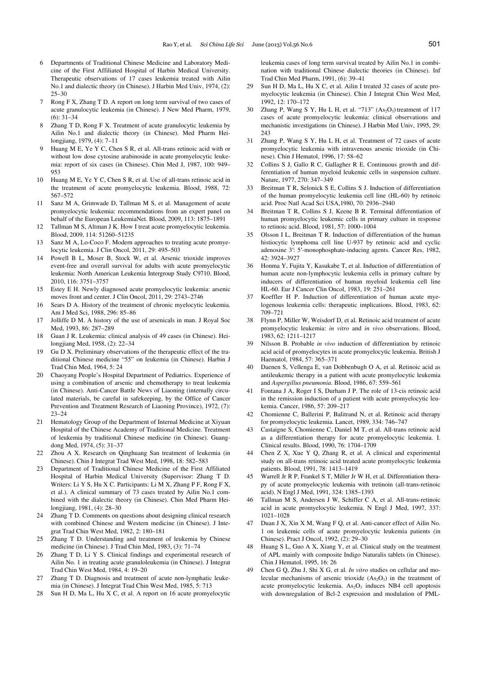- 6 Departments of Traditional Chinese Medicine and Laboratory Medicine of the First Affiliated Hospital of Harbin Medical University. Therapeutic observations of 17 cases leukemia treated with Ailin No.1 and dialectic theory (in Chinese). J Harbin Med Univ, 1974, (2): 25–30
- 7 Rong F X, Zhang T D. A report on long term survival of two cases of acute granulocytic leukemia (in Chinese). J New Med Pharm, 1979, (6): 31–34
- 8 Zhang T D, Rong F X. Treatment of acute granulocytic leukemia by Ailin No.1 and dialectic theory (in Chinese). Med Pharm Heilongjiang, 1979, (4): 7–11
- 9 Huang M E, Ye Y C, Chen S R, et al. All-trans retinoic acid with or without low dose cytosine arabinoside in acute promyelocytic leukemia: report of six cases (in Chinese). Chin Med J, 1987, 100: 949– 953
- 10 Huang M E, Ye Y C, Chen S R, et al. Use of all-trans retinoic acid in the treatment of acute promyelocytic leukemia. Blood, 1988, 72: 567–572
- 11 Sanz M A, Grimwade D, Tallman M S, et al. Management of acute promyelocytic leukemia: recommendations from an expert panel on behalf of the European LeukemiaNet. Blood, 2009, 113: 1875–1891
- 12 Tallman M S, Altman J K. How I treat acute promyelocytic leukemia. Blood, 2009, 114: 51260–51235
- 13 Sanz M A, Lo-Coco F. Modern approaches to treating acute promyelocytic leukemia. J Clin Oncol, 2011, 29: 495–503
- 14 Powell B L, Moser B, Stock W, et al. Arsenic trioxide improves event-free and overall survival for adults with acute promyelocytic leukemia: North American Leukemia Intergroup Study C9710. Blood, 2010, 116: 3751–3757
- 15 Estey E H. Newly diagnosed acute promyelocytic leukemia: arsenic moves front and center. J Clin Oncol, 2011, 29: 2743–2746
- 16 Sears D A. History of the treatment of chronic myelocytic leukemia. Am J Med Sci, 1988, 296: 85–86
- 17 Jolliffe D M. A history of the use of arsenicals in man. J Royal Soc Med, 1993, 86: 287–289
- 18 Guan J R. Leukemia: clinical analysis of 49 cases (in Chinese). Heilongjiang Med, 1958, (2): 22–34
- 19 Gu D X. Preliminary observations of the therapeutic effect of the traditional Chinese medicine "55" on leukemia (in Chinese). Harbin J Trad Chin Med, 1964, 5: 24
- 20 Chaoyang People's Hospital Department of Pediatrics. Experience of using a combination of arsenic and chemotherapy to treat leukemia (in Chinese). Anti-Cancer Battle News of Liaoning (internally circulated materials, be careful in safekeeping, by the Office of Cancer Prevention and Treatment Research of Liaoning Province), 1972, (7): 23–24
- 21 Hematology Group of the Department of Internal Medicine at Xiyuan Hospital of the Chinese Academy of Traditional Medicine. Treatment of leukemia by traditional Chinese medicine (in Chinese). Guangdong Med, 1974, (5): 31–37
- 22 Zhou A X. Research on Qinghuang San treatment of leukemia (in Chinese). Chin J Integrat Trad West Med, 1998, 18: 582–583
- 23 Department of Traditional Chinese Medicine of the First Affiliated Hospital of Harbin Medical University (Supervisor: Zhang T D. Writers: Li Y S, Hu X C. Participants: Li M X, Zhang P F, Rong F X, et al.). A clinical summary of 73 cases treated by Ailin No.1 combined with the dialectic theory (in Chinese). Chin Med Pharm Heilongjiang, 1981, (4): 28–30
- 24 Zhang T D. Comments on questions about designing clinical research with combined Chinese and Western medicine (in Chinese). J Integrat Trad Chin West Med, 1982, 2: 180–181
- 25 Zhang T D. Understanding and treatment of leukemia by Chinese medicine (in Chinese). J Trad Chin Med, 1983, (3): 71–74
- 26 Zhang T D, Li Y S. Clinical findings and experimental research of Ailin No. 1 in treating acute granuloleukemia (in Chinese). J Integrat Trad Chin West Med, 1984, 4: 19–20
- 27 Zhang T D. Diagnosis and treatment of acute non-lymphatic leukemia (in Chinese). J Integrat Trad Chin West Med, 1985, 5: 713
- 28 Sun H D, Ma L, Hu X C, et al. A report on 16 acute promyelocytic

leukemia cases of long term survival treated by Ailin No.1 in combination with traditional Chinese dialectic theories (in Chinese). Inf Trad Chin Med Pharm, 1991, (6): 39–41

- 29 Sun H D, Ma L, Hu X C, et al. Ailin I treated 32 cases of acute promyelocytic leukemia (in Chinese). Chin J Integrat Chin West Med, 1992, 12: 170–172
- 30 Zhang P, Wang S Y, Hu L H, et al. "713"  $(As<sub>2</sub>O<sub>3</sub>)$  treatment of 117 cases of acute promyelocytic leukemia: clinical observations and mechanistic investigations (in Chinese). J Harbin Med Univ, 1995, 29: 243
- 31 Zhang P, Wang S Y, Hu L H, et al. Treatment of 72 cases of acute promyelocytic leukemia with intravenous arsenic trioxide (in Chinese). Chin J Hematol, 1996, 17: 58–62
- 32 Collins S J, Gallo R C, Gallagher R E. Continuous growth and differentiation of human myeloid leukemic cells in suspension culture. Nature, 1977, 270: 347–349
- 33 Breitman T R, Selonick S E, Collins S J. Induction of differentiation of the human promyelocytic leukemia cell line (HL-60) by retinoic acid. Proc Natl Acad Sci USA,1980, 70: 2936–2940
- 34 Breitman T R, Collins S J, Keene B R. Terminal differentiation of human promyelocytic leukemic cells in primary culture in response to retinoic acid. Blood, 1981, 57: 1000–1004
- 35 Olsson I L, Breitman T R. Induction of differentiation of the human histiocytic lymphoma cell line U-937 by retinoic acid and cyclic adenosine 3′: 5′-monophosphate-inducing agents. Cancer Res, 1982, 42: 3924–3927
- 36 Honma Y, Fujita Y, Kasukabe T, et al. Induction of differentiation of human acute non-lymphocytic leukemia cells in primary culture by inducers of differentiation of human myeloid leukemia cell line HL-60. Eur J Cancer Clin Oncol, 1983, 19: 251–261
- 37 Koeffler H P. Induction of differentiation of human acute myelogenous leukemia cells: therapeutic implications. Blood, 1983, 62: 709–721
- 38 Flynn P, Miller W, Weisdorf D, et al. Retinoic acid treatment of acute promyelocytic leukemia: *in vitro* and *in vivo* observations. Blood, 1983, 62: 1211–1217
- Nilsson B. Probable *in vivo* induction of differentiation by retinoic acid acid of promyelocytes in acute promyelocytic leukemia. British J Haematol, 1984, 57: 365–371
- 40 Daenen S, Vellenga E, van Dobbenbugh O A, et al. Retinoic acid as antileukemic therapy in a patient with acute promyelocytic leukemia and *Aspergillus pneumonia*. Blood, 1986, 67: 559–561
- 41 Fontana J A, Roger I S, Durham J P. The role of 13-cis retinoic acid in the remission induction of a patient with acute promyelocytic leukemia. Cancer, 1986, 57: 209–217
- 42 Chomienne C, Ballerini P, Balitrand N, et al. Retinoic acid therapy for promyelocytic leukemia. Lancet, 1989, 334: 746–747
- 43 Castaigne S, Chomienne C, Daniel M T, et al. All-trans retinoic acid as a differentiation therapy for acute promyelocytic leukemia. I. Clinical results. Blood, 1990, 76: 1704–1709
- 44 Chen Z X, Xue Y Q, Zhang R, et al. A clinical and experimental study on all-trans retinoic acid treated acute promyelocytic leukemia patients. Blood, 1991, 78: 1413–1419
- 45 Warrell Jr R P, Frankel S T, Miller Jr W H, et al. Differentiation therapy of acute promyelocytic leukemia with tretinoin (all-trans-retinoic acid). N Engl J Med, 1991, 324: 1385–1393
- 46 Tallman M S, Andersen J W, Schiffer C A, et al. All-trans-retinoic acid in acute promyelocytic leukemia. N Engl J Med, 1997, 337: 1021–1028
- 47 Duan J X, Xin X M, Wang F Q, et al. Anti-cancer effect of Ailin No. 1 on leukemic cells of acute promyelocytic leukemia patients (in Chinese). Pract J Oncol, 1992, (2): 29–30
- Huang S L, Guo A X, Xiang Y, et al. Clinical study on the treatment of APL mainly with composite Indigo Naturalis tablets (in Chinese). Chin J Hematol, 1995, 16: 26
- 49 Chen G Q, Zhu J, Shi X G, et al. *In vitro* studies on cellular and molecular mechanisms of arsenic trioxide  $(As<sub>2</sub>O<sub>3</sub>)$  in the treatment of acute promyelocytic leukemia.  $As<sub>2</sub>O<sub>3</sub>$  induces NB4 cell apoptosis with downregulation of Bcl-2 expression and modulation of PML-